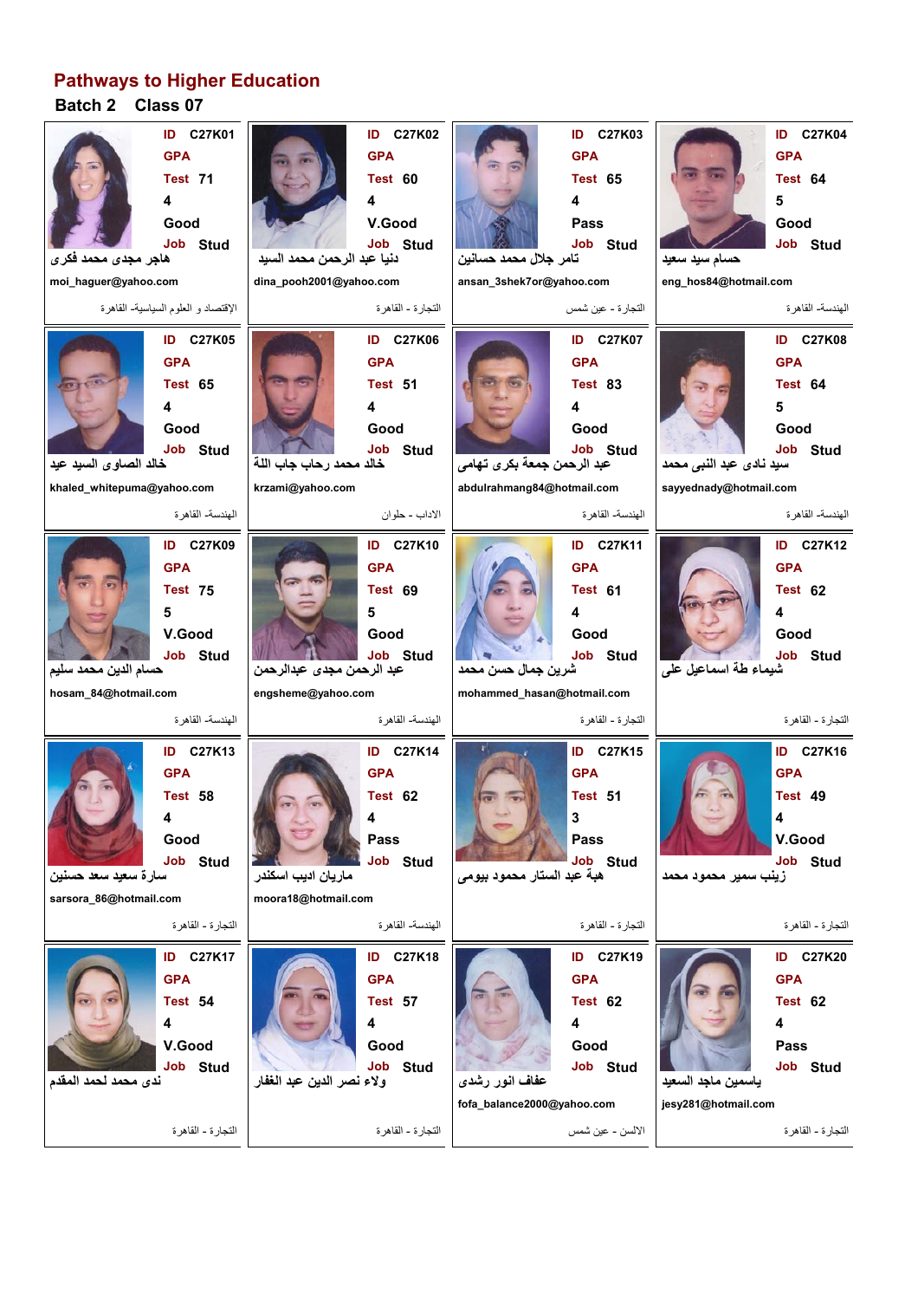## **Pathways to Higher Education**

## **Batch 2 Class 07**